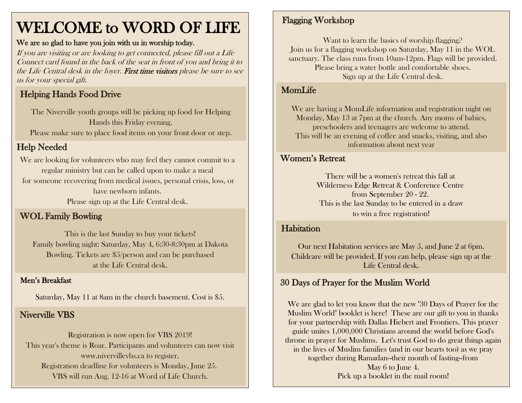# WELCOME to WORD OF LIFE

#### We are so glad to have you join with us in worship today.

If you are visiting or are looking to get connected, please fill out a Life Connect card found in the back of the seat in front of you and bring it to the Life Central desk in the foyer. First time visitors please be sure to see us for your special gift.

# Helping Hands Food Drive

The Niverville youth groups will be picking up food for Helping Hands this Friday evening.

Please make sure to place food items on your front door or step.

### Help Needed

 We are looking for volunteers who may feel they cannot commit to a regular ministry but can be called upon to make a meal for someone recovering from medical issues, personal crisis, loss, or have newborn infants. Please sign up at the Life Central desk.

### WOL Family Bowling

This is the last Sunday to buy your tickets! Family bowling night: Saturday, May 4, 6:30-8:30pm at Dakota Bowling. Tickets are \$5/person and can be purchased at the Life Central desk.

#### Men's Breakfast

Saturday, May 11 at 8am in the church basement. Cost is \$5.

#### Niverville VBS

Registration is now open for VBS 2019! This year's theme is Roar. Participants and volunteers can now visit www.nivervillevbs.ca to register. Registration deadline for volunteers is Monday, June 25. VBS will run Aug. 12-16 at Word of Life Church.

#### Flagging Workshop

Want to learn the basics of worship flagging? Join us for a flagging workshop on Saturday, May 11 in the WOL sanctuary. The class runs from 10am-12pm. Flags will be provided. Please bring a water bottle and comfortable shoes. Sign up at the Life Central desk.

#### MomLife

We are having a MomLife information and registration night on Monday, May 13 at 7pm at the church. Any moms of babies, preschoolers and teenagers are welcome to attend. This will be an evening of coffee and snacks, visiting, and also information about next year

#### Women's Retreat

There will be a women's retreat this fall at Wilderness Edge Retreat & Conference Centre from September 20 - 22. This is the last Sunday to be entered in a draw to win a free registration!

#### **Habitation**

Our next Habitation services are May 5, and June 2 at 6pm. Childcare will be provided. If you can help, please sign up at the Life Central desk.

## 30 Days of Prayer for the Muslim World

We are glad to let you know that the new "30 Days of Prayer for the Muslim World" booklet is here! These are our gift to you in thanks for your partnership with Dallas Hiebert and Frontiers. This prayer guide unites 1,000,000 Christians around the world before God's throne in prayer for Muslims. Let's trust God to do great things again in the lives of Muslim families (and in our hearts too) as we pray together during Ramadan--their month of fasting--from May 6 to June 4. Pick up a booklet in the mail room!

 $\overline{a}$